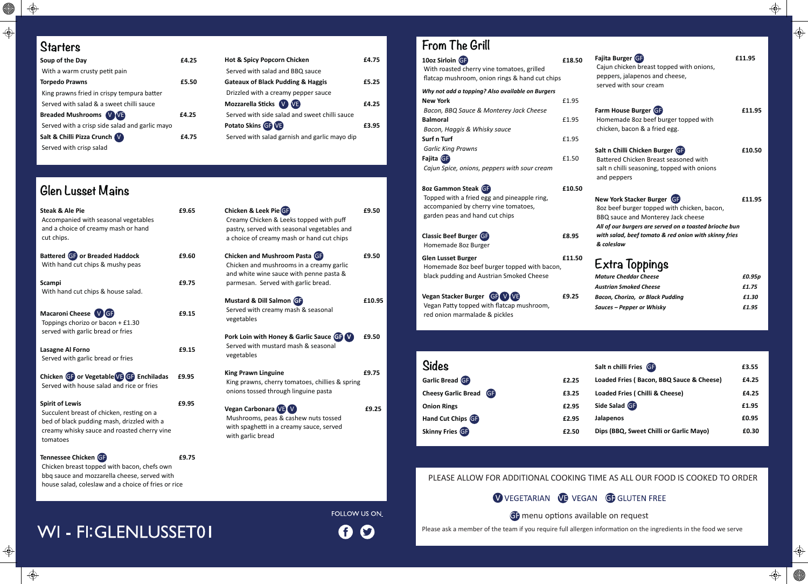**All Street** 

 $\bigoplus$ 

#### PLEASE ALLOW FOR ADDITIONAL COOKING TIME AS ALL OUR FOOD IS COOKED TO ORDER

VEGETARIAN VE VEGAN GEGLUTEN FREE

GF menu options available on request

Please ask a member of the team if you require full allergen information on the ingredients in the food we serve

WI - FI:GLENLUSSET01

## **From The Grill**

| 10oz Sirloin GF<br>With roasted cherry vine tomatoes, grilled<br>flatcap mushroom, onion rings & hand cut chips                              | £18.50 |
|----------------------------------------------------------------------------------------------------------------------------------------------|--------|
| Why not add a topping? Also available on Burgers<br><b>New York</b><br>Bacon, BBQ Sauce & Monterey Jack Cheese                               | £1.95  |
| <b>Balmoral</b><br>Bacon, Haggis & Whisky sauce                                                                                              | £1.95  |
| <b>Surf n Turf</b><br><b>Garlic King Prawns</b>                                                                                              | £1.95  |
| Fajita GB<br>Cajun Spice, onions, peppers with sour cream                                                                                    | £1.50  |
| 8oz Gammon Steak GF<br>Topped with a fried egg and pineapple ring,<br>accompanied by cherry vine tomatoes,<br>garden peas and hand cut chips | £10.50 |
| <b>Classic Beef Burger GF</b><br>Homemade 8oz Burger                                                                                         | £8.95  |
| <b>Glen Lusset Burger</b><br>Homemade 8oz beef burger topped with bacon,<br>black pudding and Austrian Smoked Cheese                         | £11.50 |
| Vegan Stacker Burger GF VVE<br>Vegan Patty topped with flatcap mushroom,<br>red onion marmalade & pickles                                    | £9.25  |
|                                                                                                                                              |        |
| Sides                                                                                                                                        |        |
| Garlic Bread GF                                                                                                                              | £2.25  |
| <b>Cheesy Garlic Bread</b><br>GE                                                                                                             | £3.25  |
| <b>Onion Rings</b>                                                                                                                           | £2.95  |

| Fajita Burger GF<br>Cajun chicken breast topped with onions,<br>peppers, jalapenos and cheese,<br>served with sour cream                                                                                                                         | £11.95 |
|--------------------------------------------------------------------------------------------------------------------------------------------------------------------------------------------------------------------------------------------------|--------|
| Farm House Burger GF<br>Homemade 8oz beef burger topped with<br>chicken, bacon & a fried egg.                                                                                                                                                    | £11.95 |
| Salt n Chilli Chicken Burger GF<br>Battered Chicken Breast seasoned with<br>salt n chilli seasoning, topped with onions<br>and peppers                                                                                                           | £10.50 |
| New York Stacker Burger GF<br>8oz beef burger topped with chicken, bacon,<br>BBQ sauce and Monterey Jack cheese<br>All of our burgers are served on a toasted brioche bun<br>with salad, beef tomato & red onion with skinny fries<br>& coleslaw | £11.95 |
| Extra Toppings                                                                                                                                                                                                                                   |        |
| <b>Mature Cheddar Cheese</b>                                                                                                                                                                                                                     | £0.95p |
| <b>Austrian Smoked Cheese</b>                                                                                                                                                                                                                    | £1.75  |
| <b>Bacon, Chorizo, or Black Pudding</b>                                                                                                                                                                                                          | £1.30  |
| Sauces – Pepper or Whisky                                                                                                                                                                                                                        | £1.95  |
|                                                                                                                                                                                                                                                  |        |

 $\bigoplus$ 

 $\bigoplus$ 

 $\bigoplus$ 

 $\big| \bigoplus$ 

| <b>Sides</b>           |       | Salt n chilli Fries GF                   | £3.55 |
|------------------------|-------|------------------------------------------|-------|
| Garlic Bread GF        | £2.25 | Loaded Fries (Bacon, BBQ Sauce & Cheese) | £4.25 |
| Cheesy Garlic Bread GP | £3.25 | Loaded Fries ( Chilli & Cheese)          | £4.25 |
| <b>Onion Rings</b>     | £2.95 | Side Salad GF                            | £1.95 |
| Hand Cut Chips GF      | £2.95 | <b>Jalapenos</b>                         | £0.95 |
| <b>Skinny Fries GF</b> | £2.50 | Dips (BBQ, Sweet Chilli or Garlic Mayo)  | £0.30 |

| <b>Hot &amp; Spicy Popcorn Chicken</b>        | £4.75 |
|-----------------------------------------------|-------|
| Served with salad and BBQ sauce               |       |
| <b>Gateaux of Black Pudding &amp; Haggis</b>  | £5.25 |
| Drizzled with a creamy pepper sauce           |       |
| Mozzarella Sticks V VB                        | £4.25 |
| Served with side salad and sweet chilli sauce |       |
| Potato Skins GP VE                            | £3.95 |
| Served with salad garnish and garlic mayo dip |       |

#### **Starters**

| <b>Steak &amp; Ale Pie</b><br>Accompanied with seasonal vegetables<br>and a choice of creamy mash or hand<br>cut chips.                                                      | £9.65 | Chicken & Leek Pie GP<br>Creamy Chicken & Leeks topped with puff<br>pastry, served with seasonal vegetables and<br>a choice of creamy mash or hand cut chips | £9.50  |
|------------------------------------------------------------------------------------------------------------------------------------------------------------------------------|-------|--------------------------------------------------------------------------------------------------------------------------------------------------------------|--------|
| Battered GP or Breaded Haddock<br>With hand cut chips & mushy peas                                                                                                           | £9.60 | Chicken and Mushroom Pasta GF<br>Chicken and mushrooms in a creamy garlic<br>and white wine sauce with penne pasta &                                         | £9.50  |
| <b>Scampi</b><br>With hand cut chips & house salad.                                                                                                                          | £9.75 | parmesan. Served with garlic bread.                                                                                                                          |        |
| Macaroni Cheese VGF<br>Toppings chorizo or bacon + £1.30                                                                                                                     | £9.15 | Mustard & Dill Salmon G<br>Served with creamy mash & seasonal<br>vegetables                                                                                  | £10.95 |
| served with garlic bread or fries<br><b>Lasagne Al Forno</b><br>Served with garlic bread or fries                                                                            | £9.15 | Pork Loin with Honey & Garlic Sauce GP V<br>Served with mustard mash & seasonal<br>vegetables                                                                | £9.50  |
| Chicken GF or Vegetable GF Enchiladas<br>Served with house salad and rice or fries                                                                                           | £9.95 | <b>King Prawn Linguine</b><br>King prawns, cherry tomatoes, chillies & spring<br>onions tossed through linguine pasta                                        | £9.75  |
| <b>Spirit of Lewis</b><br>Succulent breast of chicken, resting on a<br>bed of black pudding mash, drizzled with a<br>creamy whisky sauce and roasted cherry vine<br>tomatoes | £9.95 | Vegan Carbonara VB V<br>Mushrooms, peas & cashew nuts tossed<br>with spaghetti in a creamy sauce, served<br>with garlic bread                                | £9.25  |
| Tennessee Chicken GF<br>Chicken breast topped with bacon, chefs own                                                                                                          | £9.75 |                                                                                                                                                              |        |

| Soup of the Day                                | £4.25 |
|------------------------------------------------|-------|
| With a warm crusty petit pain                  |       |
| <b>Torpedo Prawns</b>                          | £5.50 |
| King prawns fried in crispy tempura batter     |       |
| Served with salad & a sweet chilli sauce       |       |
| <b>Breaded Mushrooms (V) VE</b>                | £4.25 |
| Served with a crisp side salad and garlic mayo |       |
| Salt & Chilli Pizza Crunch V                   |       |
| Served with crisp salad                        |       |

### **Glen Lusset Mains**

 Chicken breast topped with bacon, chefs own bbq sauce and mozzarella cheese, served with house salad, coleslaw and a choice of fries or rice

### FOLLOW US ON

#### G  $\boldsymbol{\Theta}$